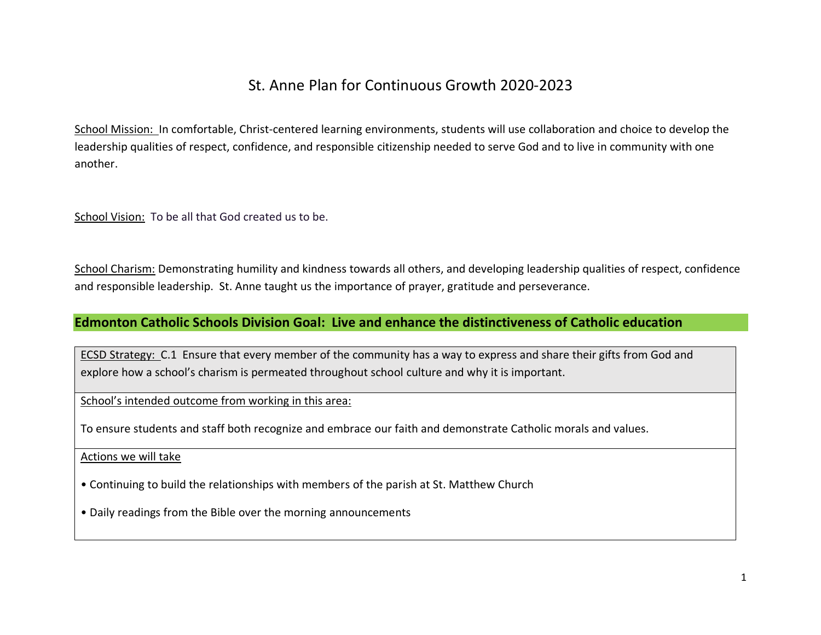## St. Anne Plan for Continuous Growth 2020-2023

School Mission: In comfortable, Christ-centered learning environments, students will use collaboration and choice to develop the leadership qualities of respect, confidence, and responsible citizenship needed to serve God and to live in community with one another.

School Vision: To be all that God created us to be.

School Charism: Demonstrating humility and kindness towards all others, and developing leadership qualities of respect, confidence and responsible leadership. St. Anne taught us the importance of prayer, gratitude and perseverance.

## **Edmonton Catholic Schools Division Goal: Live and enhance the distinctiveness of Catholic education**

ECSD Strategy: C.1 Ensure that every member of the community has a way to express and share their gifts from God and explore how a school's charism is permeated throughout school culture and why it is important.

School's intended outcome from working in this area:

To ensure students and staff both recognize and embrace our faith and demonstrate Catholic morals and values.

Actions we will take

• Continuing to build the relationships with members of the parish at St. Matthew Church

• Daily readings from the Bible over the morning announcements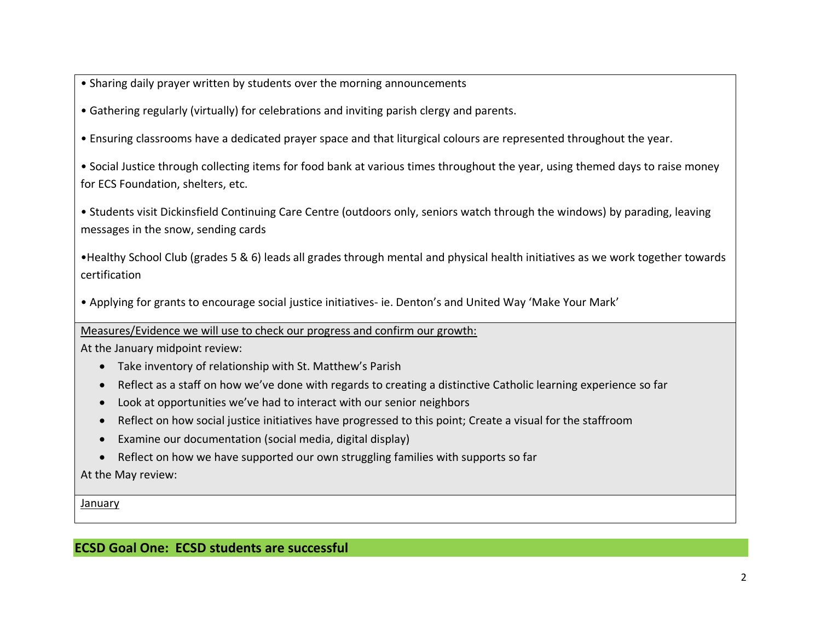• Sharing daily prayer written by students over the morning announcements

• Gathering regularly (virtually) for celebrations and inviting parish clergy and parents.

• Ensuring classrooms have a dedicated prayer space and that liturgical colours are represented throughout the year.

• Social Justice through collecting items for food bank at various times throughout the year, using themed days to raise money for ECS Foundation, shelters, etc.

• Students visit Dickinsfield Continuing Care Centre (outdoors only, seniors watch through the windows) by parading, leaving messages in the snow, sending cards

•Healthy School Club (grades 5 & 6) leads all grades through mental and physical health initiatives as we work together towards certification

• Applying for grants to encourage social justice initiatives- ie. Denton's and United Way 'Make Your Mark'

Measures/Evidence we will use to check our progress and confirm our growth:

At the January midpoint review:

- Take inventory of relationship with St. Matthew's Parish
- Reflect as a staff on how we've done with regards to creating a distinctive Catholic learning experience so far
- Look at opportunities we've had to interact with our senior neighbors
- Reflect on how social justice initiatives have progressed to this point; Create a visual for the staffroom
- Examine our documentation (social media, digital display)
- Reflect on how we have supported our own struggling families with supports so far

At the May review:

January

**ECSD Goal One: ECSD students are successful**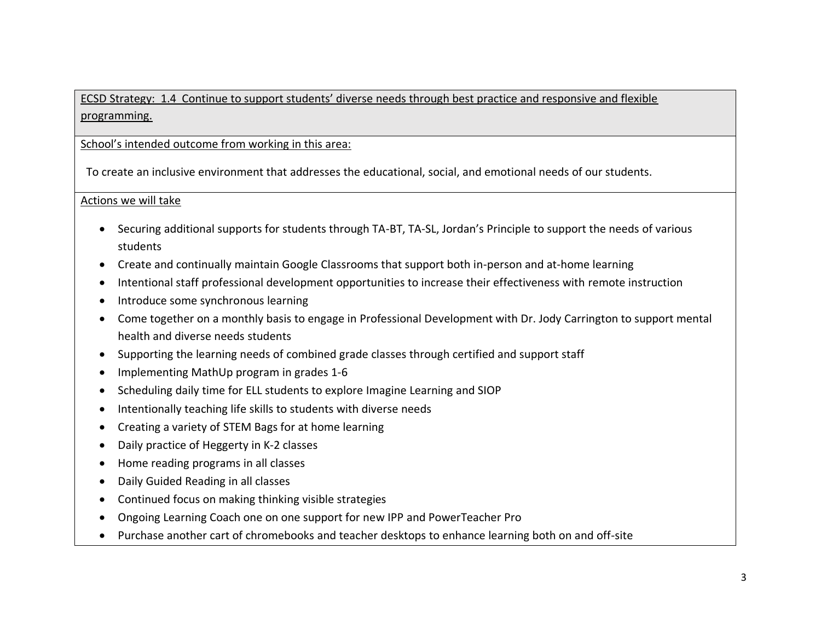ECSD Strategy: 1.4 Continue to support students' diverse needs through best practice and responsive and flexible programming.

School's intended outcome from working in this area:

To create an inclusive environment that addresses the educational, social, and emotional needs of our students.

Actions we will take

- Securing additional supports for students through TA-BT, TA-SL, Jordan's Principle to support the needs of various students
- Create and continually maintain Google Classrooms that support both in-person and at-home learning
- Intentional staff professional development opportunities to increase their effectiveness with remote instruction
- Introduce some synchronous learning
- Come together on a monthly basis to engage in Professional Development with Dr. Jody Carrington to support mental health and diverse needs students
- Supporting the learning needs of combined grade classes through certified and support staff
- Implementing MathUp program in grades 1-6
- Scheduling daily time for ELL students to explore Imagine Learning and SIOP
- Intentionally teaching life skills to students with diverse needs
- Creating a variety of STEM Bags for at home learning
- Daily practice of Heggerty in K-2 classes
- Home reading programs in all classes
- Daily Guided Reading in all classes
- Continued focus on making thinking visible strategies
- Ongoing Learning Coach one on one support for new IPP and PowerTeacher Pro
- Purchase another cart of chromebooks and teacher desktops to enhance learning both on and off-site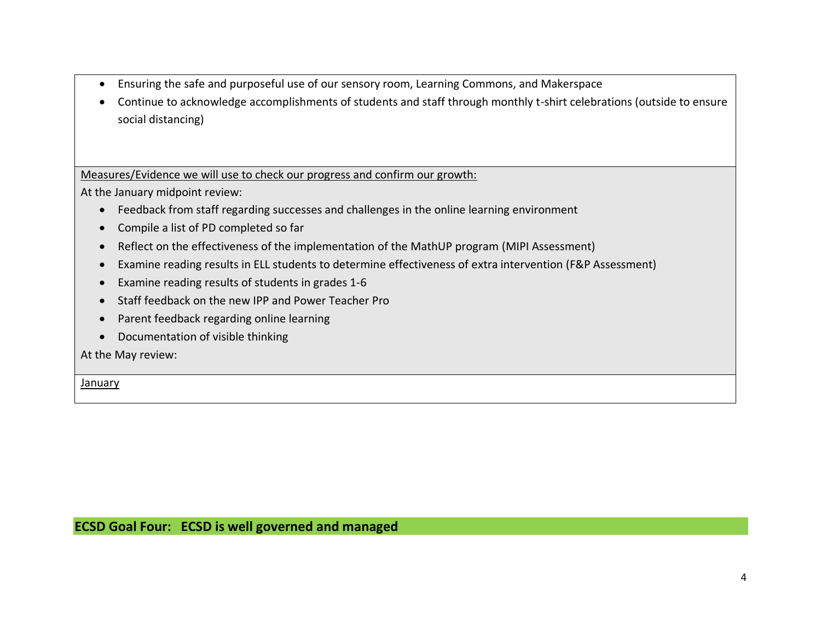- Ensuring the safe and purposeful use of our sensory room, Learning Commons, and Makerspace
- Continue to acknowledge accomplishments of students and staff through monthly t-shirt celebrations (outside to ensure social distancing)

Measures/Evidence we will use to check our progress and confirm our growth:

At the January midpoint review:

- Feedback from staff regarding successes and challenges in the online learning environment
- Compile a list of PD completed so far
- Reflect on the effectiveness of the implementation of the MathUP program (MIPI Assessment)
- Examine reading results in ELL students to determine effectiveness of extra intervention (F&P Assessment)
- Examine reading results of students in grades 1-6
- Staff feedback on the new IPP and Power Teacher Pro
- Parent feedback regarding online learning
- Documentation of visible thinking

At the May review:

January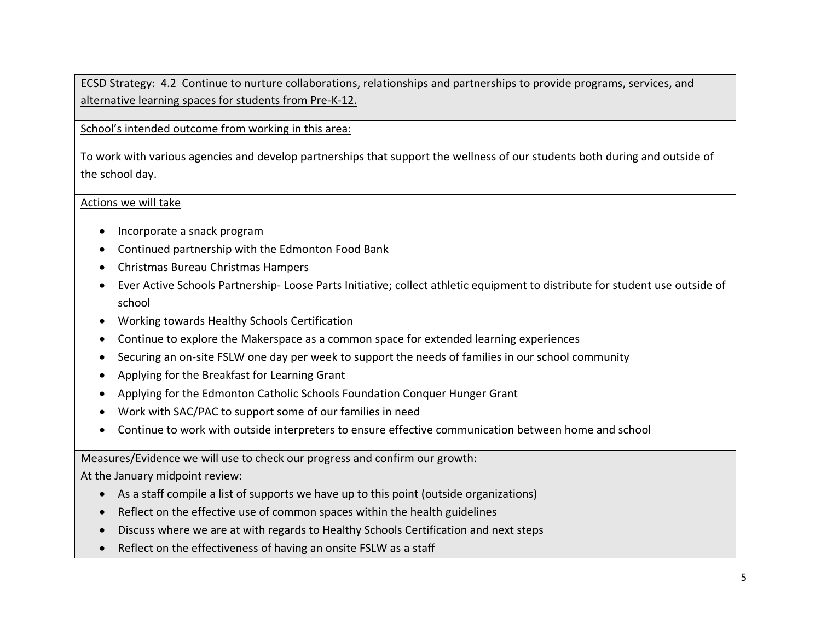ECSD Strategy: 4.2 Continue to nurture collaborations, relationships and partnerships to provide programs, services, and alternative learning spaces for students from Pre-K-12.

School's intended outcome from working in this area:

To work with various agencies and develop partnerships that support the wellness of our students both during and outside of the school day.

Actions we will take

- Incorporate a snack program
- Continued partnership with the Edmonton Food Bank
- Christmas Bureau Christmas Hampers
- Ever Active Schools Partnership- Loose Parts Initiative; collect athletic equipment to distribute for student use outside of school
- Working towards Healthy Schools Certification
- Continue to explore the Makerspace as a common space for extended learning experiences
- Securing an on-site FSLW one day per week to support the needs of families in our school community
- Applying for the Breakfast for Learning Grant
- Applying for the Edmonton Catholic Schools Foundation Conquer Hunger Grant
- Work with SAC/PAC to support some of our families in need
- Continue to work with outside interpreters to ensure effective communication between home and school

Measures/Evidence we will use to check our progress and confirm our growth:

At the January midpoint review:

- As a staff compile a list of supports we have up to this point (outside organizations)
- Reflect on the effective use of common spaces within the health guidelines
- Discuss where we are at with regards to Healthy Schools Certification and next steps
- Reflect on the effectiveness of having an onsite FSLW as a staff